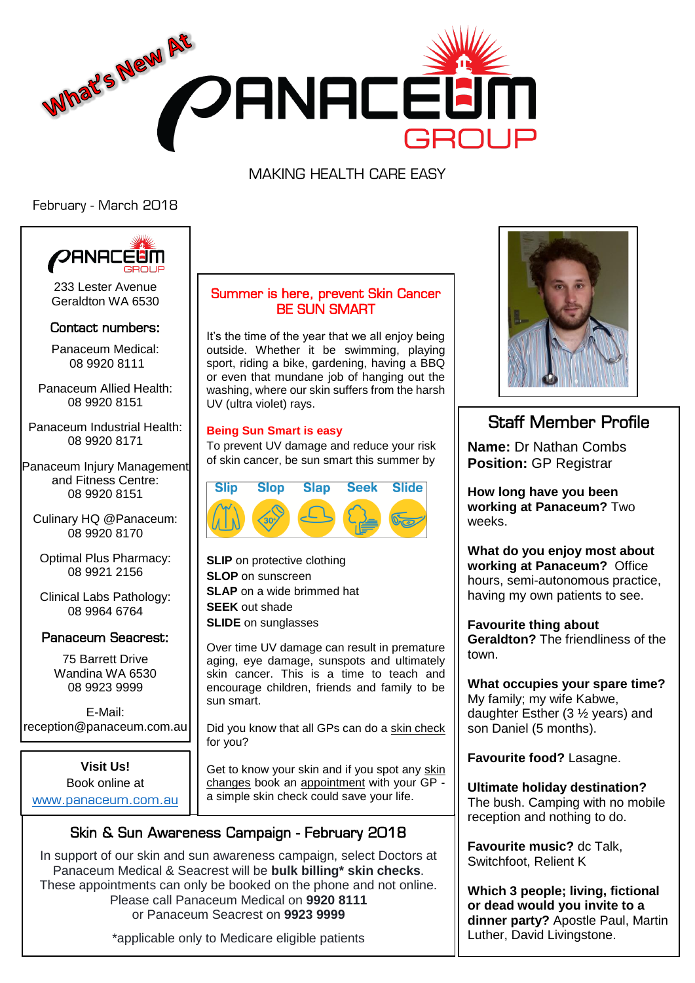

MAKING HEALTH CARE EASY

February - March 2018



233 Lester Avenue Geraldton WA 6530

### Contact numbers:

Panaceum Medical: 08 9920 8111

Panaceum Allied Health: 08 9920 8151

Panaceum Industrial Health: 08 9920 8171

Panaceum Injury Management and Fitness Centre: 08 9920 8151

Culinary HQ @Panaceum: 08 9920 8170

Optimal Plus Pharmacy: 08 9921 2156

Clinical Labs Pathology: 08 9964 6764

## Panaceum Seacrest:

75 Barrett Drive Wandina WA 6530 08 9923 9999

E-Mail: reception@panaceum.com.au

**Visit Us!**  Book online at <www.panaceum.com.au>

## Summer is here, prevent Skin Cancer BE SUN SMART

It's the time of the year that we all enjoy being outside. Whether it be swimming, playing sport, riding a bike, gardening, having a BBQ or even that mundane job of hanging out the washing, where our skin suffers from the harsh UV (ultra violet) rays.

#### **Being Sun Smart is easy**

To prevent UV damage and reduce your risk of skin cancer, be sun smart this summer by



**SLIP** on protective clothing **SLOP** on sunscreen **SLAP** on a wide brimmed hat **SEEK** out shade **SLIDE** on sunglasses

Over time UV damage can result in premature aging, eye damage, sunspots and ultimately skin cancer. This is a time to teach and encourage children, friends and family to be sun smart.

Did you know that all GPs can do a skin check for you?

Get to know your skin and if you spot any skin changes book an appointment with your GP a simple skin check could save your life.

# Skin & Sun Awareness Campaign - February 2018

In support of our skin and sun awareness campaign, select Doctors at Panaceum Medical & Seacrest will be **bulk billing\* skin checks**. These appointments can only be booked on the phone and not online. Please call Panaceum Medical on **9920 8111** or Panaceum Seacrest on **9923 9999**

\*applicable only to Medicare eligible patients



# Staff Member Profile

**Name:** Dr Nathan Combs **Position:** GP Registrar

**How long have you been working at Panaceum?** Two weeks.

**What do you enjoy most about working at Panaceum?** Office hours, semi-autonomous practice, having my own patients to see.

**Favourite thing about Geraldton?** The friendliness of the town.

**What occupies your spare time?**  My family; my wife Kabwe, daughter Esther (3 ½ years) and son Daniel (5 months).

**Favourite food?** Lasagne.

**Ultimate holiday destination?**  The bush. Camping with no mobile reception and nothing to do.

**Favourite music?** dc Talk, Switchfoot, Relient K

**Which 3 people; living, fictional or dead would you invite to a dinner party?** Apostle Paul, Martin Luther, David Livingstone.